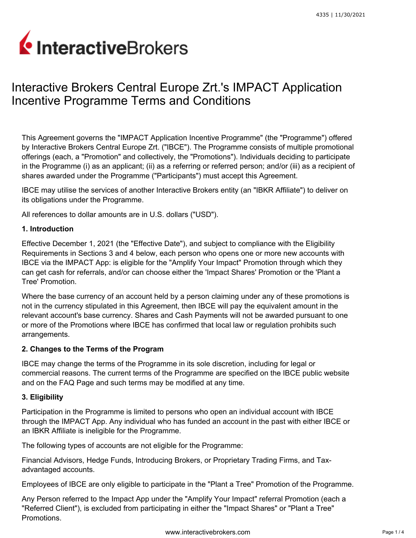# InteractiveBrokers

# Interactive Brokers Central Europe Zrt.'s IMPACT Application Incentive Programme Terms and Conditions

This Agreement governs the "IMPACT Application Incentive Programme" (the "Programme") offered by Interactive Brokers Central Europe Zrt. ("IBCE"). The Programme consists of multiple promotional offerings (each, a "Promotion" and collectively, the "Promotions"). Individuals deciding to participate in the Programme (i) as an applicant; (ii) as a referring or referred person; and/or (iii) as a recipient of shares awarded under the Programme ("Participants") must accept this Agreement.

IBCE may utilise the services of another Interactive Brokers entity (an "IBKR Affiliate") to deliver on its obligations under the Programme.

All references to dollar amounts are in U.S. dollars ("USD").

### **1. Introduction**

Effective December 1, 2021 (the "Effective Date"), and subject to compliance with the Eligibility Requirements in Sections 3 and 4 below, each person who opens one or more new accounts with IBCE via the IMPACT App: is eligible for the "Amplify Your Impact" Promotion through which they can get cash for referrals, and/or can choose either the 'Impact Shares' Promotion or the 'Plant a Tree' Promotion.

Where the base currency of an account held by a person claiming under any of these promotions is not in the currency stipulated in this Agreement, then IBCE will pay the equivalent amount in the relevant account's base currency. Shares and Cash Payments will not be awarded pursuant to one or more of the Promotions where IBCE has confirmed that local law or regulation prohibits such arrangements.

#### **2. Changes to the Terms of the Program**

IBCE may change the terms of the Programme in its sole discretion, including for legal or commercial reasons. The current terms of the Programme are specified on the IBCE public website and on the FAQ Page and such terms may be modified at any time.

# **3. Eligibility**

Participation in the Programme is limited to persons who open an individual account with IBCE through the IMPACT App. Any individual who has funded an account in the past with either IBCE or an IBKR Affiliate is ineligible for the Programme.

The following types of accounts are not eligible for the Programme:

Financial Advisors, Hedge Funds, Introducing Brokers, or Proprietary Trading Firms, and Taxadvantaged accounts.

Employees of IBCE are only eligible to participate in the "Plant a Tree" Promotion of the Programme.

Any Person referred to the Impact App under the "Amplify Your Impact" referral Promotion (each a "Referred Client"), is excluded from participating in either the "Impact Shares" or "Plant a Tree" Promotions.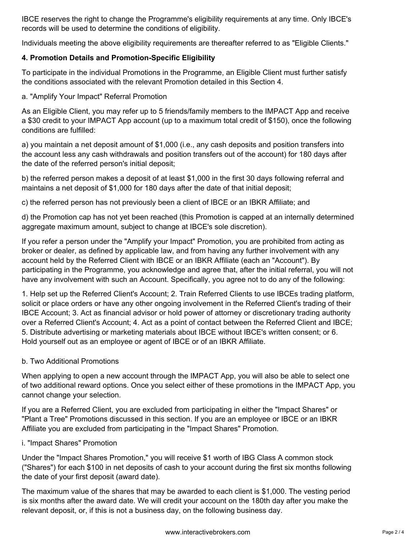IBCE reserves the right to change the Programme's eligibility requirements at any time. Only IBCE's records will be used to determine the conditions of eligibility.

Individuals meeting the above eligibility requirements are thereafter referred to as "Eligible Clients."

# **4. Promotion Details and Promotion-Specific Eligibility**

To participate in the individual Promotions in the Programme, an Eligible Client must further satisfy the conditions associated with the relevant Promotion detailed in this Section 4.

a. "Amplify Your Impact" Referral Promotion

As an Eligible Client, you may refer up to 5 friends/family members to the IMPACT App and receive a \$30 credit to your IMPACT App account (up to a maximum total credit of \$150), once the following conditions are fulfilled:

a) you maintain a net deposit amount of \$1,000 (i.e., any cash deposits and position transfers into the account less any cash withdrawals and position transfers out of the account) for 180 days after the date of the referred person's initial deposit;

b) the referred person makes a deposit of at least \$1,000 in the first 30 days following referral and maintains a net deposit of \$1,000 for 180 days after the date of that initial deposit;

c) the referred person has not previously been a client of IBCE or an IBKR Affiliate; and

d) the Promotion cap has not yet been reached (this Promotion is capped at an internally determined aggregate maximum amount, subject to change at IBCE's sole discretion).

If you refer a person under the "Amplify your Impact" Promotion, you are prohibited from acting as broker or dealer, as defined by applicable law, and from having any further involvement with any account held by the Referred Client with IBCE or an IBKR Affiliate (each an "Account"). By participating in the Programme, you acknowledge and agree that, after the initial referral, you will not have any involvement with such an Account. Specifically, you agree not to do any of the following:

1. Help set up the Referred Client's Account; 2. Train Referred Clients to use IBCEs trading platform, solicit or place orders or have any other ongoing involvement in the Referred Client's trading of their IBCE Account; 3. Act as financial advisor or hold power of attorney or discretionary trading authority over a Referred Client's Account; 4. Act as a point of contact between the Referred Client and IBCE; 5. Distribute advertising or marketing materials about IBCE without IBCE's written consent; or 6. Hold yourself out as an employee or agent of IBCE or of an IBKR Affiliate.

#### b. Two Additional Promotions

When applying to open a new account through the IMPACT App, you will also be able to select one of two additional reward options. Once you select either of these promotions in the IMPACT App, you cannot change your selection.

If you are a Referred Client, you are excluded from participating in either the "Impact Shares" or "Plant a Tree" Promotions discussed in this section. If you are an employee or IBCE or an IBKR Affiliate you are excluded from participating in the "Impact Shares" Promotion.

i. "Impact Shares" Promotion

Under the "Impact Shares Promotion," you will receive \$1 worth of IBG Class A common stock ("Shares") for each \$100 in net deposits of cash to your account during the first six months following the date of your first deposit (award date).

The maximum value of the shares that may be awarded to each client is \$1,000. The vesting period is six months after the award date. We will credit your account on the 180th day after you make the relevant deposit, or, if this is not a business day, on the following business day.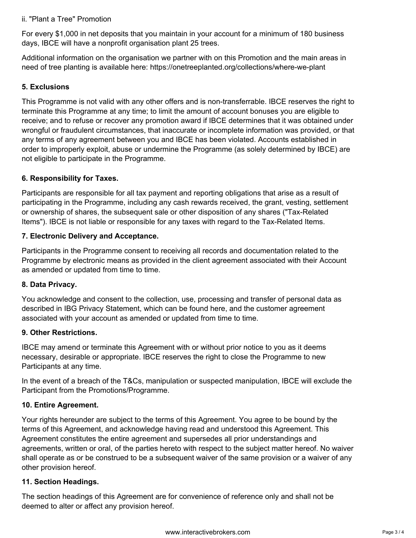#### ii. "Plant a Tree" Promotion

For every \$1,000 in net deposits that you maintain in your account for a minimum of 180 business days, IBCE will have a nonprofit organisation plant 25 trees.

Additional information on the organisation we partner with on this Promotion and the main areas in need of tree planting is available here: <https://onetreeplanted.org/collections/where-we-plant>

#### **5. Exclusions**

This Programme is not valid with any other offers and is non-transferrable. IBCE reserves the right to terminate this Programme at any time; to limit the amount of account bonuses you are eligible to receive; and to refuse or recover any promotion award if IBCE determines that it was obtained under wrongful or fraudulent circumstances, that inaccurate or incomplete information was provided, or that any terms of any agreement between you and IBCE has been violated. Accounts established in order to improperly exploit, abuse or undermine the Programme (as solely determined by IBCE) are not eligible to participate in the Programme.

#### **6. Responsibility for Taxes.**

Participants are responsible for all tax payment and reporting obligations that arise as a result of participating in the Programme, including any cash rewards received, the grant, vesting, settlement or ownership of shares, the subsequent sale or other disposition of any shares ("Tax-Related Items"). IBCE is not liable or responsible for any taxes with regard to the Tax-Related Items.

#### **7. Electronic Delivery and Acceptance.**

Participants in the Programme consent to receiving all records and documentation related to the Programme by electronic means as provided in the client agreement associated with their Account as amended or updated from time to time.

#### **8. Data Privacy.**

You acknowledge and consent to the collection, use, processing and transfer of personal data as described in IBG Privacy Statement, which can be found [here,](https://www.interactivebrokers.hu/en/index.php?f=48165) and the customer agreement associated with your account as amended or updated from time to time.

#### **9. Other Restrictions.**

IBCE may amend or terminate this Agreement with or without prior notice to you as it deems necessary, desirable or appropriate. IBCE reserves the right to close the Programme to new Participants at any time.

In the event of a breach of the T&Cs, manipulation or suspected manipulation, IBCE will exclude the Participant from the Promotions/Programme.

#### **10. Entire Agreement.**

Your rights hereunder are subject to the terms of this Agreement. You agree to be bound by the terms of this Agreement, and acknowledge having read and understood this Agreement. This Agreement constitutes the entire agreement and supersedes all prior understandings and agreements, written or oral, of the parties hereto with respect to the subject matter hereof. No waiver shall operate as or be construed to be a subsequent waiver of the same provision or a waiver of any other provision hereof.

#### **11. Section Headings.**

The section headings of this Agreement are for convenience of reference only and shall not be deemed to alter or affect any provision hereof.